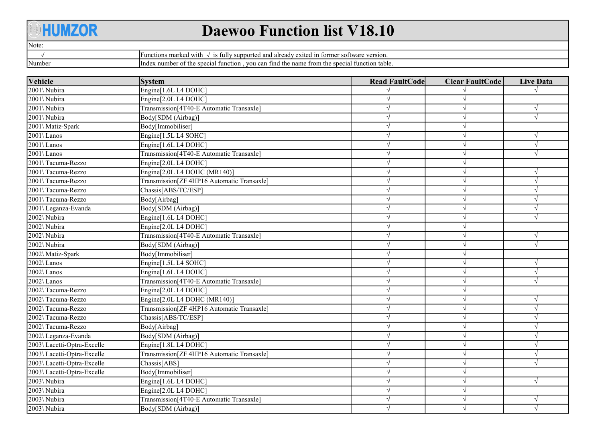## **AHUMZOR**

## Daewoo Function list V18.10

|--|--|

√

Number

Functions marked with √ is fully supported and already exited in former software version. Index number of the special function , you can find the name from the special function table.

| <b>Vehicle</b>              | <b>System</b>                              | <b>Read FaultCode</b> | <b>Clear FaultCode</b> | <b>Live Data</b> |
|-----------------------------|--------------------------------------------|-----------------------|------------------------|------------------|
| 2001\ Nubira                | Engine[1.6L L4 DOHC]                       |                       |                        |                  |
| 2001\ Nubira                | Engine[2.0L L4 DOHC]                       |                       |                        |                  |
| 2001\ Nubira                | Transmission[4T40-E Automatic Transaxle]   |                       | V                      | $\sqrt{ }$       |
| 2001\ Nubira                | Body[SDM (Airbag)]                         |                       | V                      | $\sqrt{ }$       |
| 2001\ Matiz-Spark           | Body[Immobiliser]                          |                       | V                      |                  |
| 2001\Lanos                  | Engine[1.5L L4 SOHC]                       |                       | V                      | $\sqrt{ }$       |
| 2001\Lanos                  | Engine[1.6L L4 DOHC]                       |                       | $\sqrt{}$              |                  |
| 2001\Lanos                  | Transmission[4T40-E Automatic Transaxle]   |                       | V                      |                  |
| 2001\Tacuma-Rezzo           | Engine[2.0L L4 DOHC]                       |                       | $\sqrt{ }$             |                  |
| 2001\Tacuma-Rezzo           | Engine[2.0L L4 DOHC (MR140)]               |                       | $\sqrt{ }$             |                  |
| 2001\Tacuma-Rezzo           | Transmission[ZF 4HP16 Automatic Transaxle] |                       | $\sqrt{ }$             |                  |
| 2001\Tacuma-Rezzo           | Chassis[ABS/TC/ESP]                        |                       | $\sqrt{ }$             |                  |
| 2001\Tacuma-Rezzo           | Body[Airbag]                               |                       |                        |                  |
| 2001\ Leganza-Evanda        | Body[SDM (Airbag)]                         |                       |                        |                  |
| 2002\ Nubira                | Engine[1.6L L4 DOHC]                       |                       |                        |                  |
| 2002\ Nubira                | Engine[2.0L L4 DOHC]                       |                       |                        |                  |
| 2002\ Nubira                | Transmission[4T40-E Automatic Transaxle]   |                       |                        |                  |
| 2002\ Nubira                | Body[SDM (Airbag)]                         |                       |                        |                  |
| 2002\ Matiz-Spark           | Body[Immobiliser]                          |                       |                        |                  |
| 2002\Lanos                  | Engine[1.5L L4 SOHC]                       |                       |                        |                  |
| $2002\backslash$ Lanos      | Engine[1.6L L4 DOHC]                       |                       | $\sqrt{}$              | $\sqrt{ }$       |
| $2002\backslash$ Lanos      | Transmission[4T40-E Automatic Transaxle]   |                       |                        |                  |
| 2002\Tacuma-Rezzo           | Engine[2.0L L4 DOHC]                       |                       |                        |                  |
| 2002\Tacuma-Rezzo           | Engine[2.0L L4 DOHC (MR140)]               |                       |                        |                  |
| 2002\Tacuma-Rezzo           | Transmission[ZF 4HP16 Automatic Transaxle] |                       |                        |                  |
| 2002\Tacuma-Rezzo           | Chassis[ABS/TC/ESP]                        |                       |                        |                  |
| 2002\Tacuma-Rezzo           | Body[Airbag]                               |                       |                        |                  |
| 2002\ Leganza-Evanda        | Body[SDM (Airbag)]                         |                       |                        |                  |
| 2003\ Lacetti-Optra-Excelle | Engine[1.8L L4 DOHC]                       |                       |                        |                  |
| 2003\ Lacetti-Optra-Excelle | Transmission[ZF 4HP16 Automatic Transaxle] |                       | $\sqrt{}$              |                  |
| 2003\ Lacetti-Optra-Excelle | Chassis[ABS]                               |                       |                        |                  |
| 2003\ Lacetti-Optra-Excelle | Body[Immobiliser]                          |                       |                        |                  |
| 2003\ Nubira                | Engine[1.6L L4 DOHC]                       |                       |                        |                  |
| 2003\ Nubira                | Engine[2.0L L4 DOHC]                       |                       |                        |                  |
| 2003\ Nubira                | Transmission[4T40-E Automatic Transaxle]   |                       |                        |                  |
| 2003\ Nubira                | Body[SDM (Airbag)]                         |                       |                        |                  |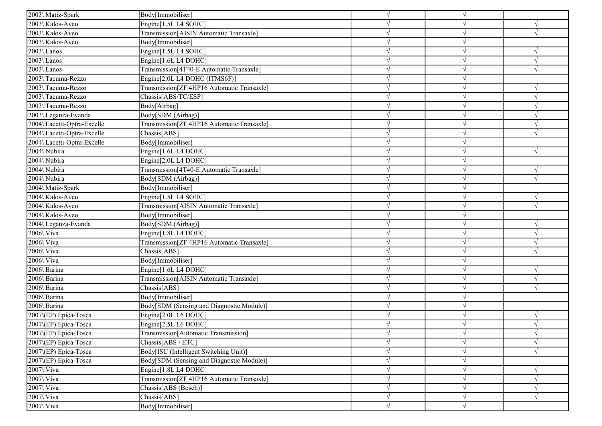| 2003\ Matiz-Spark                                     | Body[Immobiliser]                          |            |            |            |
|-------------------------------------------------------|--------------------------------------------|------------|------------|------------|
| 2003\ Kalos-Aveo                                      | Engine[1.5L L4 SOHC]                       |            |            |            |
| 2003\ Kalos-Aveo                                      | Transmission[AISIN Automatic Transaxle]    |            |            |            |
| 2003\ Kalos-Aveo                                      | Body[Immobiliser]                          |            |            |            |
| $2003\backslash$ Lanos                                | Engine[1.5L L4 SOHC]                       |            |            |            |
| 2003\Lanos                                            | Engine[1.6L L4 DOHC]                       |            |            | $\sqrt{}$  |
| $2003\backslash$ Lanos                                | Transmission[4T40-E Automatic Transaxle]   |            |            | $\sqrt{}$  |
| 2003\Tacuma-Rezzo                                     | Engine[2.0L L4 DOHC (ITMS6F)]              |            |            |            |
| 2003\Tacuma-Rezzo                                     | Transmission[ZF 4HP16 Automatic Transaxle] |            |            | V          |
| 2003\Tacuma-Rezzo                                     | Chassis[ABS/TC/ESP]                        |            |            | $\sqrt{ }$ |
| 2003\Tacuma-Rezzo                                     | Body[Airbag]                               |            |            |            |
| 2003\Leganza-Evanda                                   | Body[SDM (Airbag)]                         |            |            |            |
| 2004\ Lacetti-Optra-Excelle                           | Transmission[ZF 4HP16 Automatic Transaxle] |            |            | $\sqrt{}$  |
| 2004\ Lacetti-Optra-Excelle                           | Chassis[ABS]                               |            |            |            |
| 2004\ Lacetti-Optra-Excelle                           | Body[Immobiliser]                          |            |            |            |
| 2004\ Nubira                                          | Engine[1.6L L4 DOHC]                       |            |            | $\sqrt{ }$ |
| 2004\ Nubira                                          | Engine[2.0L L4 DOHC]                       |            |            |            |
| 2004\ Nubira                                          | Transmission[4T40-E Automatic Transaxle]   |            |            | $\sqrt{ }$ |
| 2004\ Nubira                                          | Body[SDM (Airbag)]                         |            |            | V          |
| 2004\ Matiz-Spark                                     | Body[Immobiliser]                          |            |            |            |
| 2004\ Kalos-Aveo                                      | Engine[1.5L L4 SOHC]                       |            |            |            |
| 2004\ Kalos-Aveo                                      | Transmission[AISIN Automatic Transaxle]    |            |            | $\sqrt{}$  |
| 2004\ Kalos-Aveo                                      | Body[Immobiliser]                          |            |            |            |
| 2004\ Leganza-Evanda                                  | Body[SDM (Airbag)]                         |            |            | $\sqrt{}$  |
| $2006$ Viva                                           | Engine[1.8L L4 DOHC]                       |            |            | $\sqrt{ }$ |
| 2006\ Viva                                            | Transmission[ZF 4HP16 Automatic Transaxle] |            |            | $\sqrt{ }$ |
| 2006\ Viva                                            | Chassis[ABS]                               |            |            |            |
| 2006\ Viva                                            | Body[Immobiliser]                          |            |            |            |
| $2006\overline{\big\langle \text{Barina}\big\rangle}$ | Engine[1.6L L4 DOHC]                       |            |            | $\sqrt{}$  |
| 2006\ Barina                                          | Transmission[AISIN Automatic Transaxle]    |            |            | $\sqrt{}$  |
| 2006\ Barina                                          | Chassis[ABS]                               |            |            |            |
| 2006\ Barina                                          | Body[Immobiliser]                          |            |            |            |
| 2006\ Barina                                          | Body[SDM (Sensing and Diagnostic Module)]  |            |            |            |
| 2007\(EP) Epica-Tosca                                 | Engine[2.0L L6 DOHC]                       |            |            | V          |
| 2007\(EP) Epica-Tosca                                 | Engine[2.5L L6 DOHC]                       |            |            |            |
| 2007\(EP) Epica-Tosca                                 | Transmission[Automatic Transmission]       | $\sqrt{}$  | $\sqrt{}$  | $\sqrt{ }$ |
| 2007\(EP) Epica-Tosca                                 | Chassis[ABS / ETC]                         |            | $\sqrt{ }$ | $\sqrt{ }$ |
| 2007 (EP) Epica-Tosca                                 | Body[ISU (Intelligent Switching Unit)]     |            |            | $\sqrt{ }$ |
| 2007\(EP) Epica-Tosca                                 | Body[SDM (Sensing and Diagnostic Module)]  |            |            |            |
| 2007\ Viva                                            | Engine[1.8L L4 DOHC]                       |            |            | $\sqrt{}$  |
| $2007\sqrt{V}$ iva                                    | Transmission[ZF 4HP16 Automatic Transaxle] |            | $\sqrt{ }$ | $\sqrt{ }$ |
| 2007\ Viva                                            | Chassis[ABS (Bosch)]                       |            | $\sqrt{}$  | $\sqrt{ }$ |
| $2007\sqrt{Viva}$                                     | Chassis[ABS]                               | $\sqrt{ }$ | $\sqrt{ }$ | $\sqrt{ }$ |
| $2007\sqrt{V}$ iva                                    | Body[Immobiliser]                          | $\sqrt{ }$ | $\sqrt{ }$ |            |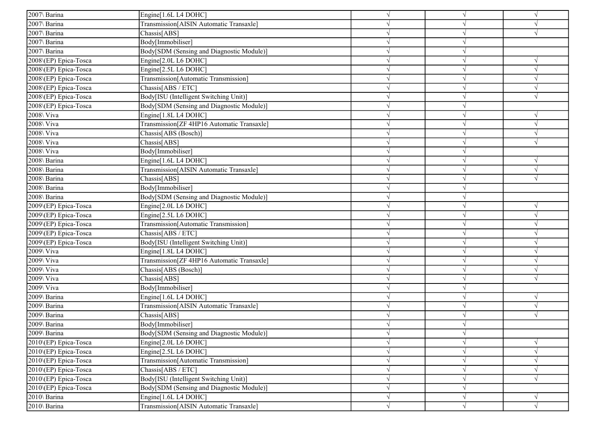| 2007\ Barina          | Engine[1.6L L4 DOHC]                       |            |            | $\sqrt{ }$ |
|-----------------------|--------------------------------------------|------------|------------|------------|
| 2007\ Barina          | Transmission[AISIN Automatic Transaxle]    |            |            |            |
| 2007\ Barina          | Chassis[ABS]                               |            |            |            |
| 2007\ Barina          | Body[Immobiliser]                          |            |            |            |
| 2007\ Barina          | Body[SDM (Sensing and Diagnostic Module)]  |            |            |            |
| 2008\(EP) Epica-Tosca | Engine[2.0L L6 DOHC]                       |            |            |            |
| 2008\(EP) Epica-Tosca | Engine[2.5L L6 DOHC]                       |            |            | $\sqrt{ }$ |
| 2008\(EP) Epica-Tosca | Transmission[Automatic Transmission]       |            |            | $\sqrt{ }$ |
| 2008\(EP) Epica-Tosca | Chassis[ABS / ETC]                         |            |            | $\sqrt{ }$ |
| 2008\(EP) Epica-Tosca | Body[ISU (Intelligent Switching Unit)]     |            |            | $\sqrt{ }$ |
| 2008\(EP) Epica-Tosca | Body[SDM (Sensing and Diagnostic Module)]  |            |            |            |
| $2008$ Viva           | Engine[1.8L L4 DOHC]                       |            |            | $\sqrt{ }$ |
| 2008\ Viva            | Transmission[ZF 4HP16 Automatic Transaxle] |            |            | $\sqrt{ }$ |
| 2008\ Viva            | Chassis[ABS (Bosch)]                       |            |            | $\sqrt{ }$ |
| 2008\ Viva            | Chassis[ABS]                               |            |            | $\sqrt{ }$ |
| 2008\ Viva            | Body[Immobiliser]                          |            |            |            |
| 2008\ Barina          | Engine[1.6L L4 DOHC]                       |            |            | $\sqrt{ }$ |
| 2008\ Barina          | Transmission[AISIN Automatic Transaxle]    |            |            | $\sqrt{}$  |
| 2008\ Barina          | Chassis[ABS]                               |            |            | V          |
| 2008\ Barina          | Body[Immobiliser]                          |            |            |            |
| 2008\ Barina          | Body[SDM (Sensing and Diagnostic Module)]  |            |            |            |
| 2009\(EP) Epica-Tosca | Engine[2.0L L6 DOHC]                       |            |            | $\sqrt{ }$ |
| 2009\(EP) Epica-Tosca | Engine[2.5L L6 DOHC]                       |            |            | $\sqrt{ }$ |
| 2009\(EP) Epica-Tosca | Transmission[Automatic Transmission]       |            |            | $\sqrt{ }$ |
| 2009\(EP) Epica-Tosca | Chassis[ABS / ETC]                         |            |            | $\sqrt{ }$ |
| 2009\(EP) Epica-Tosca | Body[ISU (Intelligent Switching Unit)]     |            |            |            |
| 2009\ Viva            | Engine[1.8L L4 DOHC]                       |            |            |            |
| $2009\sqrt{V}$ iva    | Transmission[ZF 4HP16 Automatic Transaxle] |            |            |            |
| 2009\ Viva            | Chassis[ABS (Bosch)]                       |            |            | $\sqrt{ }$ |
| 2009\ Viva            | Chassis[ABS]                               |            |            |            |
| 2009\ Viva            | Body[Immobiliser]                          |            |            |            |
| 2009\ Barina          | Engine[1.6L L4 DOHC]                       |            |            | $\sqrt{ }$ |
| 2009\ Barina          | Transmission[AISIN Automatic Transaxle]    |            |            | $\sqrt{ }$ |
| 2009\ Barina          | Chassis[ABS]                               |            |            |            |
| 2009\ Barina          | Body[Immobiliser]                          |            |            |            |
| 2009\ Barina          | Body[SDM (Sensing and Diagnostic Module)]  | $\sqrt{ }$ | $\sqrt{}$  |            |
| 2010\(EP) Epica-Tosca | Engine[2.0L L6 DOHC]                       |            | $\sqrt{ }$ | $\sqrt{}$  |
| 2010 (EP) Epica-Tosca | Engine[2.5L L6 DOHC]                       |            |            | $\sqrt{}$  |
| 2010\(EP) Epica-Tosca | Transmission[Automatic Transmission]       |            | $\sqrt{ }$ | $\sqrt{ }$ |
| 2010\(EP) Epica-Tosca | Chassis[ABS / ETC]                         |            | N          | $\sqrt{ }$ |
| 2010\(EP) Epica-Tosca | Body[ISU (Intelligent Switching Unit)]     | $\sqrt{ }$ | $\sqrt{ }$ | $\sqrt{ }$ |
| 2010\(EP) Epica-Tosca | Body[SDM (Sensing and Diagnostic Module)]  | $\sqrt{ }$ | $\sqrt{}$  |            |
| 2010\ Barina          | Engine[1.6L L4 DOHC]                       | $\sqrt{ }$ | $\sqrt{}$  | $\sqrt{ }$ |
| 2010\ Barina          | Transmission[AISIN Automatic Transaxle]    | $\sqrt{ }$ | $\sqrt{}$  | $\sqrt{}$  |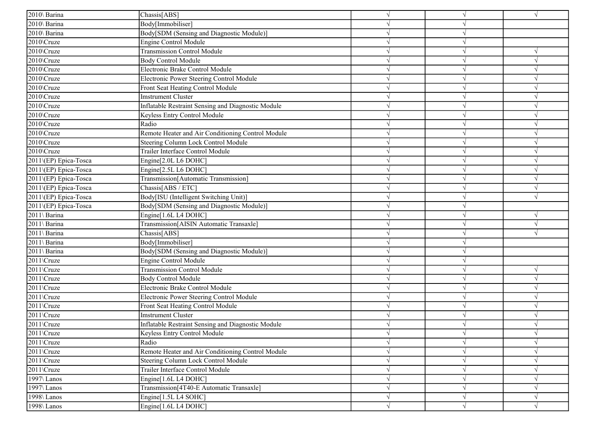| 2010\ Barina          | Chassis[ABS]                                       |            |            | $\sqrt{ }$ |
|-----------------------|----------------------------------------------------|------------|------------|------------|
| 2010\ Barina          | Body[Immobiliser]                                  |            |            |            |
| 2010\ Barina          | Body[SDM (Sensing and Diagnostic Module)]          |            |            |            |
| 2010\Cruze            | Engine Control Module                              |            |            |            |
| 2010\Cruze            | <b>Transmission Control Module</b>                 |            |            |            |
| 2010\Cruze            | Body Control Module                                |            |            | $\sqrt{ }$ |
| 2010\Cruze            | Electronic Brake Control Module                    |            |            | $\sqrt{ }$ |
| 2010\Cruze            | Electronic Power Steering Control Module           |            |            | $\sqrt{ }$ |
| 2010\Cruze            | Front Seat Heating Control Module                  |            |            | $\sqrt{ }$ |
| 2010\Cruze            | <b>Imstrument Cluster</b>                          |            |            | $\sqrt{ }$ |
| 2010\Cruze            | Inflatable Restraint Sensing and Diagnostic Module |            |            | $\sqrt{ }$ |
| 2010\Cruze            | Keyless Entry Control Module                       |            |            | $\sqrt{ }$ |
| 2010\Cruze            | Radio                                              |            |            | $\sqrt{ }$ |
| 2010\Cruze            | Remote Heater and Air Conditioning Control Module  |            |            | $\sqrt{ }$ |
| 2010\Cruze            | Steering Column Lock Control Module                |            |            | $\sqrt{ }$ |
| 2010\Cruze            | Trailer Interface Control Module                   |            | $\sqrt{ }$ | $\sqrt{ }$ |
| 2011\(EP) Epica-Tosca | Engine[2.0L L6 DOHC]                               |            |            | $\sqrt{ }$ |
| 2011\(EP) Epica-Tosca | Engine[2.5L L6 DOHC]                               |            |            | $\sqrt{ }$ |
| 2011\(EP) Epica-Tosca | Transmission[Automatic Transmission]               |            |            | $\sqrt{ }$ |
| 2011\(EP) Epica-Tosca | Chassis[ABS / ETC]                                 |            |            | $\sqrt{ }$ |
| 2011\(EP) Epica-Tosca | Body[ISU (Intelligent Switching Unit)]             |            |            | $\sqrt{ }$ |
| 2011\(EP) Epica-Tosca | Body[SDM (Sensing and Diagnostic Module)]          |            |            |            |
| 2011\ Barina          | Engine[1.6L L4 DOHC]                               |            |            | $\sqrt{ }$ |
| 2011\ Barina          | Transmission[AISIN Automatic Transaxle]            |            |            | $\sqrt{ }$ |
| 2011\ Barina          | Chassis[ABS]                                       |            |            | $\sqrt{ }$ |
| 2011\ Barina          | Body[Immobiliser]                                  |            |            |            |
| 2011\ Barina          | Body[SDM (Sensing and Diagnostic Module)]          |            |            |            |
| 2011\Cruze            | Engine Control Module                              |            |            |            |
| 2011\Cruze            | <b>Transmission Control Module</b>                 |            |            | $\sqrt{ }$ |
| 2011\Cruze            | <b>Body Control Module</b>                         |            |            |            |
| 2011\Cruze            | Electronic Brake Control Module                    |            |            |            |
| 2011\Cruze            | Electronic Power Steering Control Module           |            |            | $\sqrt{ }$ |
| 2011\Cruze            | Front Seat Heating Control Module                  |            |            | $\sqrt{ }$ |
| 2011\Cruze            | <b>Imstrument Cluster</b>                          |            |            | $\sqrt{ }$ |
| 2011\Cruze            | Inflatable Restraint Sensing and Diagnostic Module |            |            | V          |
| 2011\Cruze            | Keyless Entry Control Module                       | V          | $\sqrt{ }$ | $\sqrt{ }$ |
| 2011\Cruze            | Radio                                              |            | $\sqrt{ }$ | $\sqrt{ }$ |
| 2011\Cruze            | Remote Heater and Air Conditioning Control Module  |            |            | $\sqrt{ }$ |
| 2011\Cruze            | Steering Column Lock Control Module                |            | $\sqrt{ }$ | $\sqrt{ }$ |
| 2011\Cruze            | Trailer Interface Control Module                   |            | $\sqrt{ }$ | $\sqrt{ }$ |
| 1997\Lanos            | Engine[1.6L L4 DOHC]                               |            | $\sqrt{ }$ | $\sqrt{ }$ |
| 1997\Lanos            | Transmission[4T40-E Automatic Transaxle]           |            | $\sqrt{ }$ | $\sqrt{ }$ |
| 1998\ Lanos           | Engine[1.5L L4 SOHC]                               | $\sqrt{}$  | $\sqrt{ }$ | $\sqrt{ }$ |
| 1998\Lanos            | Engine[1.6L L4 DOHC]                               | $\sqrt{ }$ | $\sqrt{ }$ | $\sqrt{ }$ |